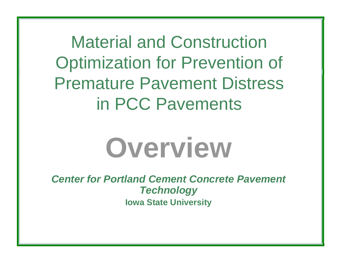Material and Construction Optimization for Prevention of Premature Pavement Distress in PCC Pavements



*Center for Portland Cement Concrete Pavement Technology* **Iowa State University**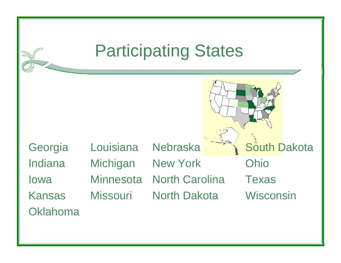### Participating States

Georgia Louisiana Nebraska South Dakota Indiana Michigan New York Ohio Iowa Minnesota North Carolina TexasKansas Missouri North Dakota Wisconsin**Oklahoma**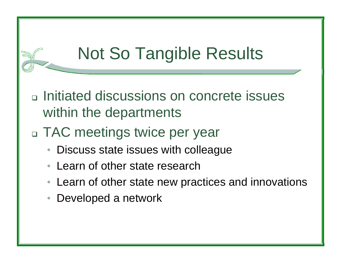- □ Initiated discussions on concrete issues within the departments
- TAC meetings twice per year
	- •Discuss state issues with colleague
	- •Learn of other state research
	- •Learn of other state new practices and innovations
	- $\bullet$ Developed a network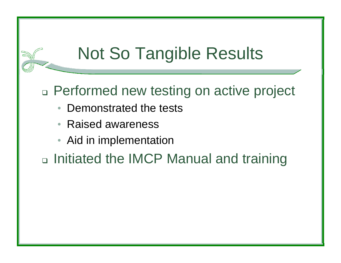#### Performed new testing on active project

- •Demonstrated the tests
- •Raised awareness
- •Aid in implementation

□ Initiated the IMCP Manual and training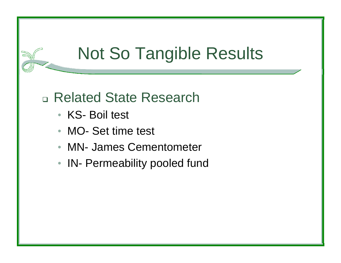#### Related State Research

- KS- Boil test
- •MO- Set time test
- MN- James Cementometer
- IN- Permeability pooled fund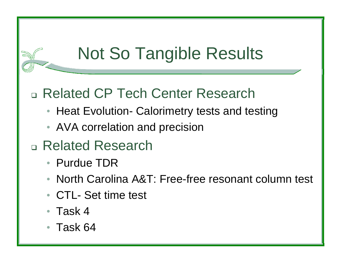#### Related CP Tech Center Research

- Heat Evolution- Calorimetry tests and testing
- AVA correlation and precision
- Related Research
	- Purdue TDR
	- •North Carolina A&T: Free-free resonant column test
	- CTL- Set time test
	- •Task 4
	- •Task 64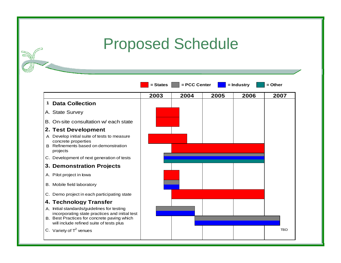### Proposed Schedule

|   |                                                                                                                        | $= States$ | = PCC Center |      | = Industry | $=$ Other  |
|---|------------------------------------------------------------------------------------------------------------------------|------------|--------------|------|------------|------------|
|   |                                                                                                                        | 2003       | 2004         | 2005 | 2006       | 2007       |
| 1 | <b>Data Collection</b>                                                                                                 |            |              |      |            |            |
|   | A. State Survey                                                                                                        |            |              |      |            |            |
|   | B. On-site consultation w/ each state                                                                                  |            |              |      |            |            |
|   | 2. Test Development                                                                                                    |            |              |      |            |            |
|   | A Develop initial suite of tests to measure<br>concrete properties<br>B Refinements based on demonstration<br>projects |            |              |      |            |            |
|   | C. Development of next generation of tests                                                                             |            |              |      |            |            |
|   | 3. Demonstration Projects                                                                                              |            |              |      |            |            |
|   | A. Pilot project in lowa                                                                                               |            |              |      |            |            |
|   | B. Mobile field laboratory                                                                                             |            |              |      |            |            |
|   | C. Demo project in each participating state                                                                            |            |              |      |            |            |
|   | 4. Technology Transfer                                                                                                 |            |              |      |            |            |
|   | A. Initial standards/guidelines for testing<br>incorporating state practices and initial test                          |            |              |      |            |            |
|   | B. Best Practices for concrete paving which<br>will include refined suite of tests plus                                |            |              |      |            |            |
|   | C. Variety of $T^2$ venues                                                                                             |            |              |      |            | <b>TBD</b> |